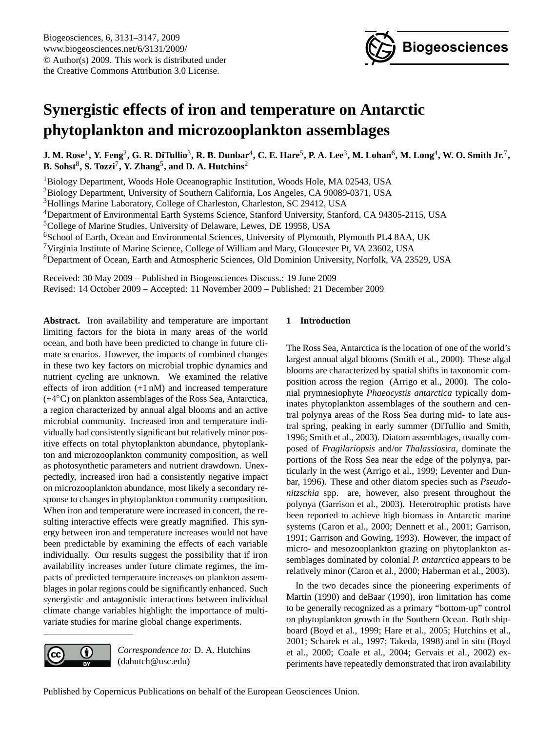

# <span id="page-0-0"></span>**Synergistic effects of iron and temperature on Antarctic phytoplankton and microzooplankton assemblages**

 $\bf J.$  M. Rose<sup>1</sup>, Y. Feng<sup>2</sup>, G. R. DiTullio $^3$ , R. B. Dunbar<sup>4</sup>, C. E. Hare $^5$ , P. A. Lee $^3$ , M. Lohan $^6$ , M. Long $^4$ , W. O. Smith Jr. $^7$ , **B. Sohst**<sup>8</sup> **, S. Tozzi**<sup>7</sup> **, Y. Zhang**<sup>5</sup> **, and D. A. Hutchins**<sup>2</sup>

<sup>1</sup>Biology Department, Woods Hole Oceanographic Institution, Woods Hole, MA 02543, USA

<sup>2</sup>Biology Department, University of Southern California, Los Angeles, CA 90089-0371, USA

<sup>3</sup>Hollings Marine Laboratory, College of Charleston, Charleston, SC 29412, USA

<sup>4</sup>Department of Environmental Earth Systems Science, Stanford University, Stanford, CA 94305-2115, USA

<sup>5</sup>College of Marine Studies, University of Delaware, Lewes, DE 19958, USA

<sup>6</sup>School of Earth, Ocean and Environmental Sciences, University of Plymouth, Plymouth PL4 8AA, UK

<sup>7</sup>Virginia Institute of Marine Science, College of William and Mary, Gloucester Pt, VA 23602, USA

<sup>8</sup>Department of Ocean, Earth and Atmospheric Sciences, Old Dominion University, Norfolk, VA 23529, USA

Received: 30 May 2009 – Published in Biogeosciences Discuss.: 19 June 2009 Revised: 14 October 2009 – Accepted: 11 November 2009 – Published: 21 December 2009

**Abstract.** Iron availability and temperature are important limiting factors for the biota in many areas of the world ocean, and both have been predicted to change in future climate scenarios. However, the impacts of combined changes in these two key factors on microbial trophic dynamics and nutrient cycling are unknown. We examined the relative effects of iron addition (+1 nM) and increased temperature (+4◦C) on plankton assemblages of the Ross Sea, Antarctica, a region characterized by annual algal blooms and an active microbial community. Increased iron and temperature individually had consistently significant but relatively minor positive effects on total phytoplankton abundance, phytoplankton and microzooplankton community composition, as well as photosynthetic parameters and nutrient drawdown. Unexpectedly, increased iron had a consistently negative impact on microzooplankton abundance, most likely a secondary response to changes in phytoplankton community composition. When iron and temperature were increased in concert, the resulting interactive effects were greatly magnified. This synergy between iron and temperature increases would not have been predictable by examining the effects of each variable individually. Our results suggest the possibility that if iron availability increases under future climate regimes, the impacts of predicted temperature increases on plankton assemblages in polar regions could be significantly enhanced. Such synergistic and antagonistic interactions between individual climate change variables highlight the importance of multivariate studies for marine global change experiments.

> *Correspondence to:* D. A. Hutchins (dahutch@usc.edu)

 $\bigcirc$ 

(cc

# **1 Introduction**

The Ross Sea, Antarctica is the location of one of the world's largest annual algal blooms (Smith et al., 2000). These algal blooms are characterized by spatial shifts in taxonomic composition across the region (Arrigo et al., 2000). The colonial prymnesiophyte *Phaeocystis antarctica* typically dominates phytoplankton assemblages of the southern and central polynya areas of the Ross Sea during mid- to late austral spring, peaking in early summer (DiTullio and Smith, 1996; Smith et al., 2003). Diatom assemblages, usually composed of *Fragilariopsis* and/or *Thalassiosira*, dominate the portions of the Ross Sea near the edge of the polynya, particularly in the west (Arrigo et al., 1999; Leventer and Dunbar, 1996). These and other diatom species such as *Pseudonitzschia* spp. are, however, also present throughout the polynya (Garrison et al., 2003). Heterotrophic protists have been reported to achieve high biomass in Antarctic marine systems (Caron et al., 2000; Dennett et al., 2001; Garrison, 1991; Garrison and Gowing, 1993). However, the impact of micro- and mesozooplankton grazing on phytoplankton assemblages dominated by colonial *P. antarctica* appears to be relatively minor (Caron et al., 2000; Haberman et al., 2003).

In the two decades since the pioneering experiments of Martin (1990) and deBaar (1990), iron limitation has come to be generally recognized as a primary "bottom-up" control on phytoplankton growth in the Southern Ocean. Both shipboard (Boyd et al., 1999; Hare et al., 2005; Hutchins et al., 2001; Scharek et al., 1997; Takeda, 1998) and in situ (Boyd et al., 2000; Coale et al., 2004; Gervais et al., 2002) experiments have repeatedly demonstrated that iron availability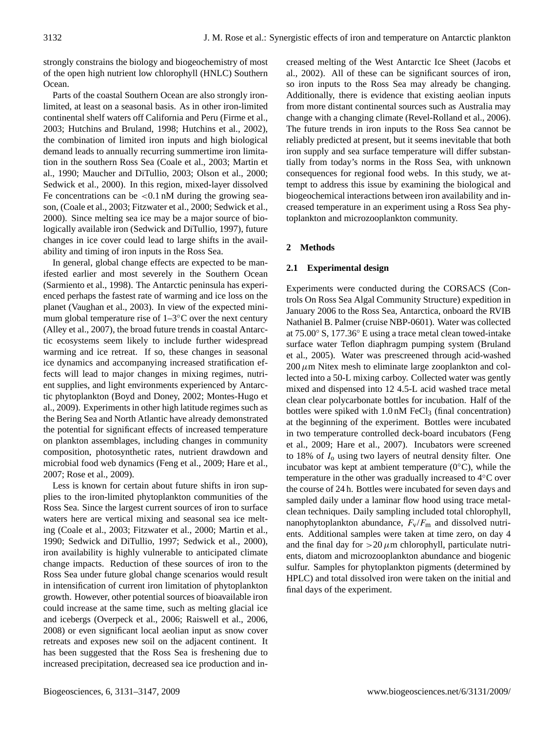strongly constrains the biology and biogeochemistry of most of the open high nutrient low chlorophyll (HNLC) Southern Ocean.

Parts of the coastal Southern Ocean are also strongly ironlimited, at least on a seasonal basis. As in other iron-limited continental shelf waters off California and Peru (Firme et al., 2003; Hutchins and Bruland, 1998; Hutchins et al., 2002), the combination of limited iron inputs and high biological demand leads to annually recurring summertime iron limitation in the southern Ross Sea (Coale et al., 2003; Martin et al., 1990; Maucher and DiTullio, 2003; Olson et al., 2000; Sedwick et al., 2000). In this region, mixed-layer dissolved Fe concentrations can be  $\lt 0.1$  nM during the growing season, (Coale et al., 2003; Fitzwater et al., 2000; Sedwick et al., 2000). Since melting sea ice may be a major source of biologically available iron (Sedwick and DiTullio, 1997), future changes in ice cover could lead to large shifts in the availability and timing of iron inputs in the Ross Sea.

In general, global change effects are expected to be manifested earlier and most severely in the Southern Ocean (Sarmiento et al., 1998). The Antarctic peninsula has experienced perhaps the fastest rate of warming and ice loss on the planet (Vaughan et al., 2003). In view of the expected minimum global temperature rise of  $1-3\degree$ C over the next century (Alley et al., 2007), the broad future trends in coastal Antarctic ecosystems seem likely to include further widespread warming and ice retreat. If so, these changes in seasonal ice dynamics and accompanying increased stratification effects will lead to major changes in mixing regimes, nutrient supplies, and light environments experienced by Antarctic phytoplankton (Boyd and Doney, 2002; Montes-Hugo et al., 2009). Experiments in other high latitude regimes such as the Bering Sea and North Atlantic have already demonstrated the potential for significant effects of increased temperature on plankton assemblages, including changes in community composition, photosynthetic rates, nutrient drawdown and microbial food web dynamics (Feng et al., 2009; Hare et al., 2007; Rose et al., 2009).

Less is known for certain about future shifts in iron supplies to the iron-limited phytoplankton communities of the Ross Sea. Since the largest current sources of iron to surface waters here are vertical mixing and seasonal sea ice melting (Coale et al., 2003; Fitzwater et al., 2000; Martin et al., 1990; Sedwick and DiTullio, 1997; Sedwick et al., 2000), iron availability is highly vulnerable to anticipated climate change impacts. Reduction of these sources of iron to the Ross Sea under future global change scenarios would result in intensification of current iron limitation of phytoplankton growth. However, other potential sources of bioavailable iron could increase at the same time, such as melting glacial ice and icebergs (Overpeck et al., 2006; Raiswell et al., 2006, 2008) or even significant local aeolian input as snow cover retreats and exposes new soil on the adjacent continent. It has been suggested that the Ross Sea is freshening due to increased precipitation, decreased sea ice production and increased melting of the West Antarctic Ice Sheet (Jacobs et al., 2002). All of these can be significant sources of iron, so iron inputs to the Ross Sea may already be changing. Additionally, there is evidence that existing aeolian inputs from more distant continental sources such as Australia may change with a changing climate (Revel-Rolland et al., 2006). The future trends in iron inputs to the Ross Sea cannot be reliably predicted at present, but it seems inevitable that both iron supply and sea surface temperature will differ substantially from today's norms in the Ross Sea, with unknown consequences for regional food webs. In this study, we attempt to address this issue by examining the biological and biogeochemical interactions between iron availability and increased temperature in an experiment using a Ross Sea phytoplankton and microzooplankton community.

# **2 Methods**

# **2.1 Experimental design**

Experiments were conducted during the CORSACS (Controls On Ross Sea Algal Community Structure) expedition in January 2006 to the Ross Sea, Antarctica, onboard the RVIB Nathaniel B. Palmer (cruise NBP-0601). Water was collected at 75.00◦ S, 177.36◦ E using a trace metal clean towed-intake surface water Teflon diaphragm pumping system (Bruland et al., 2005). Water was prescreened through acid-washed  $200 \mu$ m Nitex mesh to eliminate large zooplankton and collected into a 50-L mixing carboy. Collected water was gently mixed and dispensed into 12 4.5-L acid washed trace metal clean clear polycarbonate bottles for incubation. Half of the bottles were spiked with  $1.0 \text{ nM}$  FeCl<sub>3</sub> (final concentration) at the beginning of the experiment. Bottles were incubated in two temperature controlled deck-board incubators (Feng et al., 2009; Hare et al., 2007). Incubators were screened to 18% of  $I_0$  using two layers of neutral density filter. One incubator was kept at ambient temperature (0◦C), while the temperature in the other was gradually increased to 4◦C over the course of 24 h. Bottles were incubated for seven days and sampled daily under a laminar flow hood using trace metalclean techniques. Daily sampling included total chlorophyll, nanophytoplankton abundance,  $F_v/F_m$  and dissolved nutrients. Additional samples were taken at time zero, on day 4 and the final day for  $>20 \mu$ m chlorophyll, particulate nutrients, diatom and microzooplankton abundance and biogenic sulfur. Samples for phytoplankton pigments (determined by HPLC) and total dissolved iron were taken on the initial and final days of the experiment.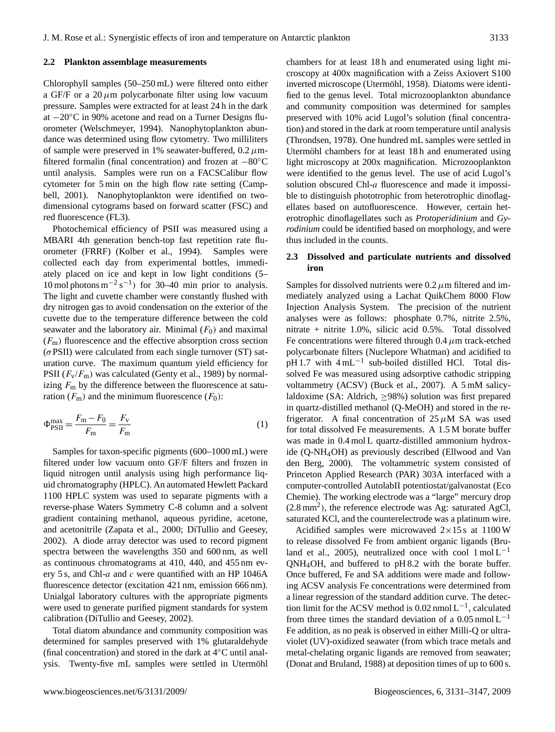#### **2.2 Plankton assemblage measurements**

Chlorophyll samples (50–250 mL) were filtered onto either a GF/F or a  $20 \mu m$  polycarbonate filter using low vacuum pressure. Samples were extracted for at least 24 h in the dark at −20◦C in 90% acetone and read on a Turner Designs fluorometer (Welschmeyer, 1994). Nanophytoplankton abundance was determined using flow cytometry. Two milliliters of sample were preserved in 1% seawater-buffered,  $0.2 \mu$ mfiltered formalin (final concentration) and frozen at −80◦C until analysis. Samples were run on a FACSCalibur flow cytometer for 5 min on the high flow rate setting (Campbell, 2001). Nanophytoplankton were identified on twodimensional cytograms based on forward scatter (FSC) and red fluorescence (FL3).

Photochemical efficiency of PSII was measured using a MBARI 4th generation bench-top fast repetition rate fluorometer (FRRF) (Kolber et al., 1994). Samples were collected each day from experimental bottles, immediately placed on ice and kept in low light conditions (5– 10 mol photons  $m^{-2} s^{-1}$ ) for 30–40 min prior to analysis. The light and cuvette chamber were constantly flushed with dry nitrogen gas to avoid condensation on the exterior of the cuvette due to the temperature difference between the cold seawater and the laboratory air. Minimal  $(F_0)$  and maximal  $(F<sub>m</sub>)$  fluorescence and the effective absorption cross section  $(\sigma$ PSII) were calculated from each single turnover (ST) saturation curve. The maximum quantum yield efficiency for PSII  $(F_v/F_m)$  was calculated (Genty et al., 1989) by normalizing  $F<sub>m</sub>$  by the difference between the fluorescence at saturation ( $F_{\text{m}}$ ) and the minimum fluorescence ( $F_0$ ):

$$
\Phi_{\text{PSII}}^{\text{max}} = \frac{F_{\text{m}} - F_0}{F_{\text{m}}} = \frac{F_{\text{v}}}{F_{\text{m}}} \tag{1}
$$

Samples for taxon-specific pigments (600–1000 mL) were filtered under low vacuum onto GF/F filters and frozen in liquid nitrogen until analysis using high performance liquid chromatography (HPLC). An automated Hewlett Packard 1100 HPLC system was used to separate pigments with a reverse-phase Waters Symmetry C-8 column and a solvent gradient containing methanol, aqueous pyridine, acetone, and acetonitrile (Zapata et al., 2000; DiTullio and Geesey, 2002). A diode array detector was used to record pigment spectra between the wavelengths 350 and 600 nm, as well as continuous chromatograms at 410, 440, and 455 nm every 5 s, and Chl- $a$  and  $c$  were quantified with an HP 1046A fluorescence detector (excitation 421 nm, emission 666 nm). Unialgal laboratory cultures with the appropriate pigments were used to generate purified pigment standards for system calibration (DiTullio and Geesey, 2002).

Total diatom abundance and community composition was determined for samples preserved with 1% glutaraldehyde (final concentration) and stored in the dark at 4◦C until analysis. Twenty-five mL samples were settled in Utermöhl chambers for at least 18 h and enumerated using light microscopy at 400x magnification with a Zeiss Axiovert S100 inverted microscope (Utermöhl, 1958). Diatoms were identified to the genus level. Total microzooplankton abundance and community composition was determined for samples preserved with 10% acid Lugol's solution (final concentration) and stored in the dark at room temperature until analysis (Throndsen, 1978). One hundred mL samples were settled in Utermöhl chambers for at least 18h and enumerated using light microscopy at 200x magnification. Microzooplankton were identified to the genus level. The use of acid Lugol's solution obscured Chl-a fluorescence and made it impossible to distinguish phototrophic from heterotrophic dinoflagellates based on autofluorescence. However, certain heterotrophic dinoflagellates such as *Protoperidinium* and *Gyrodinium* could be identified based on morphology, and were thus included in the counts.

## **2.3 Dissolved and particulate nutrients and dissolved iron**

Samples for dissolved nutrients were  $0.2 \mu$ m filtered and immediately analyzed using a Lachat QuikChem 8000 Flow Injection Analysis System. The precision of the nutrient analyses were as follows: phosphate 0.7%, nitrite 2.5%, nitrate + nitrite 1.0%, silicic acid 0.5%. Total dissolved Fe concentrations were filtered through  $0.4 \mu$ m track-etched polycarbonate filters (Nuclepore Whatman) and acidified to pH 1.7 with 4 mL<sup>-1</sup> sub-boiled distilled HCl. Total dissolved Fe was measured using adsorptive cathodic stripping voltammetry (ACSV) (Buck et al., 2007). A 5 mM salicylaldoxime (SA: Aldrich, ≥98%) solution was first prepared in quartz-distilled methanol (Q-MeOH) and stored in the refrigerator. A final concentration of  $25 \mu M$  SA was used for total dissolved Fe measurements. A 1.5 M borate buffer was made in  $0.4 \text{ mol L}$  quartz-distilled ammonium hydroxide (Q-NH4OH) as previously described (Ellwood and Van den Berg, 2000). The voltammetric system consisted of Princeton Applied Research (PAR) 303A interfaced with a computer-controlled AutolabII potentiostat/galvanostat (Eco Chemie). The working electrode was a "large" mercury drop  $(2.8 \text{ mm}^2)$ , the reference electrode was Ag: saturated AgCl, saturated KCl, and the counterelectrode was a platinum wire.

Acidified samples were microwaved  $2 \times 15$  s at  $1100$  W to release dissolved Fe from ambient organic ligands (Bruland et al., 2005), neutralized once with cool  $1 \text{ mol} L^{-1}$ QNH4OH, and buffered to pH 8.2 with the borate buffer. Once buffered, Fe and SA additions were made and following ACSV analysis Fe concentrations were determined from a linear regression of the standard addition curve. The detection limit for the ACSV method is  $0.02$  nmol L<sup>-1</sup>, calculated from three times the standard deviation of a 0.05 nmol  $L^{-1}$ Fe addition, as no peak is observed in either Milli-Q or ultraviolet (UV)-oxidized seawater (from which trace metals and metal-chelating organic ligands are removed from seawater; (Donat and Bruland, 1988) at deposition times of up to 600 s.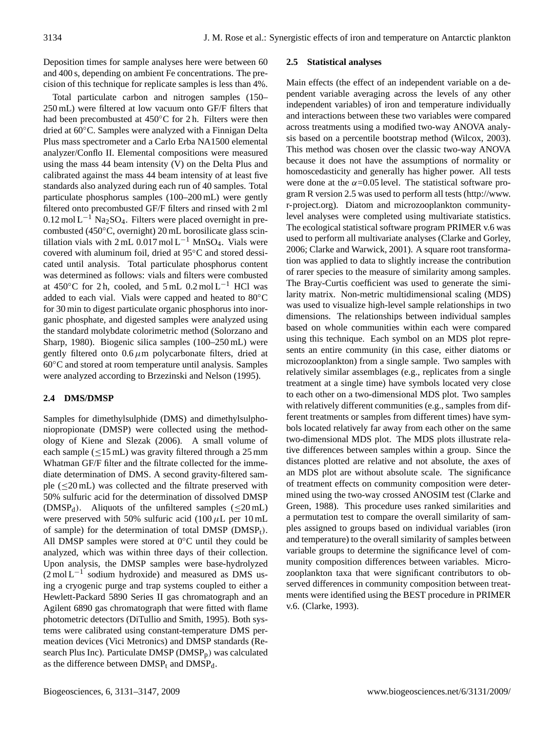Deposition times for sample analyses here were between 60 and 400 s, depending on ambient Fe concentrations. The precision of this technique for replicate samples is less than 4%.

Total particulate carbon and nitrogen samples (150– 250 mL) were filtered at low vacuum onto GF/F filters that had been precombusted at 450℃ for 2 h. Filters were then dried at 60◦C. Samples were analyzed with a Finnigan Delta Plus mass spectrometer and a Carlo Erba NA1500 elemental analyzer/Conflo II. Elemental compositions were measured using the mass 44 beam intensity (V) on the Delta Plus and calibrated against the mass 44 beam intensity of at least five standards also analyzed during each run of 40 samples. Total particulate phosphorus samples (100–200 mL) were gently filtered onto precombusted GF/F filters and rinsed with 2 ml 0.12 mol L−<sup>1</sup> Na2SO4. Filters were placed overnight in precombusted (450◦C, overnight) 20 mL borosilicate glass scintillation vials with 2 mL 0.017 mol L<sup>-1</sup> MnSO<sub>4</sub>. Vials were covered with aluminum foil, dried at 95◦C and stored dessicated until analysis. Total particulate phosphorus content was determined as follows: vials and filters were combusted at 450◦C for 2 h, cooled, and 5 mL 0.2 mol L−<sup>1</sup> HCl was added to each vial. Vials were capped and heated to 80◦C for 30 min to digest particulate organic phosphorus into inorganic phosphate, and digested samples were analyzed using the standard molybdate colorimetric method (Solorzano and Sharp, 1980). Biogenic silica samples (100–250 mL) were gently filtered onto  $0.6 \mu m$  polycarbonate filters, dried at 60◦C and stored at room temperature until analysis. Samples were analyzed according to Brzezinski and Nelson (1995).

# **2.4 DMS/DMSP**

Samples for dimethylsulphide (DMS) and dimethylsulphoniopropionate (DMSP) were collected using the methodology of Kiene and Slezak (2006). A small volume of each sample ( $\leq$ 15 mL) was gravity filtered through a 25 mm Whatman GF/F filter and the filtrate collected for the immediate determination of DMS. A second gravity-filtered sample (≤20 mL) was collected and the filtrate preserved with 50% sulfuric acid for the determination of dissolved DMSP (DMSP<sub>d</sub>). Aliquots of the unfiltered samples ( $\leq$ 20 mL) were preserved with 50% sulfuric acid  $(100 \,\mu L$  per 10 mL of sample) for the determination of total DMSP ( $DMSP_t$ ). All DMSP samples were stored at 0◦C until they could be analyzed, which was within three days of their collection. Upon analysis, the DMSP samples were base-hydrolyzed (2 mol L−<sup>1</sup> sodium hydroxide) and measured as DMS using a cryogenic purge and trap systems coupled to either a Hewlett-Packard 5890 Series II gas chromatograph and an Agilent 6890 gas chromatograph that were fitted with flame photometric detectors (DiTullio and Smith, 1995). Both systems were calibrated using constant-temperature DMS permeation devices (Vici Metronics) and DMSP standards (Research Plus Inc). Particulate DMSP ( $\text{DMSP}_p$ ) was calculated as the difference between  $DMSP<sub>t</sub>$  and  $DMSP<sub>d</sub>$ .

## **2.5 Statistical analyses**

Main effects (the effect of an independent variable on a dependent variable averaging across the levels of any other independent variables) of iron and temperature individually and interactions between these two variables were compared across treatments using a modified two-way ANOVA analysis based on a percentile bootstrap method (Wilcox, 2003). This method was chosen over the classic two-way ANOVA because it does not have the assumptions of normality or homoscedasticity and generally has higher power. All tests were done at the  $\alpha$ =0.05 level. The statistical software program R version 2.5 was used to perform all tests [\(http://www.](http://www.r-project.org) [r-project.org\)](http://www.r-project.org). Diatom and microzooplankton communitylevel analyses were completed using multivariate statistics. The ecological statistical software program PRIMER v.6 was used to perform all multivariate analyses (Clarke and Gorley, 2006; Clarke and Warwick, 2001). A square root transformation was applied to data to slightly increase the contribution of rarer species to the measure of similarity among samples. The Bray-Curtis coefficient was used to generate the similarity matrix. Non-metric multidimensional scaling (MDS) was used to visualize high-level sample relationships in two dimensions. The relationships between individual samples based on whole communities within each were compared using this technique. Each symbol on an MDS plot represents an entire community (in this case, either diatoms or microzooplankton) from a single sample. Two samples with relatively similar assemblages (e.g., replicates from a single treatment at a single time) have symbols located very close to each other on a two-dimensional MDS plot. Two samples with relatively different communities (e.g., samples from different treatments or samples from different times) have symbols located relatively far away from each other on the same two-dimensional MDS plot. The MDS plots illustrate relative differences between samples within a group. Since the distances plotted are relative and not absolute, the axes of an MDS plot are without absolute scale. The significance of treatment effects on community composition were determined using the two-way crossed ANOSIM test (Clarke and Green, 1988). This procedure uses ranked similarities and a permutation test to compare the overall similarity of samples assigned to groups based on individual variables (iron and temperature) to the overall similarity of samples between variable groups to determine the significance level of community composition differences between variables. Microzooplankton taxa that were significant contributors to observed differences in community composition between treatments were identified using the BEST procedure in PRIMER v.6. (Clarke, 1993).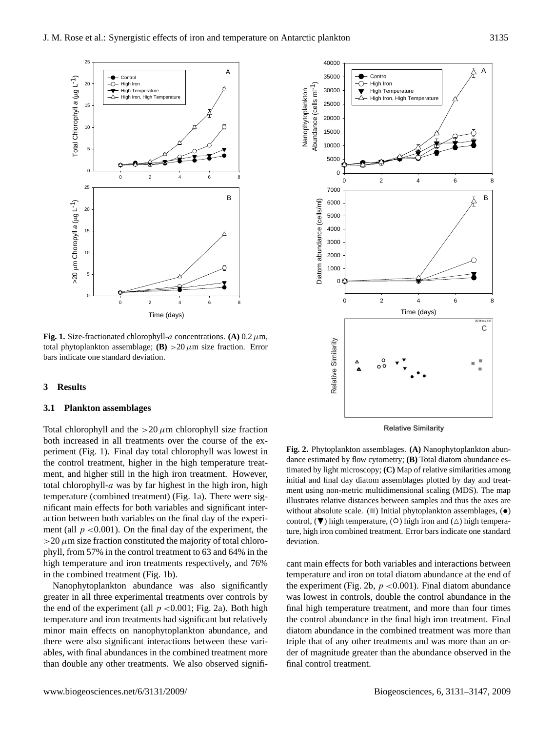

**Fig. 1.** Size-fractionated chlorophyll-a concentrations. **(A)**  $0.2 \mu$ m, total phytoplankton assemblage; **(B)**  $>$  20  $\mu$ m size fraction. Error bars indicate one standard deviation.

#### **3 Results**

#### **3.1 Plankton assemblages**

action between both variables on the final day of the experi-Total chlorophyll and the  $>20 \mu$ m chlorophyll size fraction both increased in all treatments over the course of the experiment (Fig. 1). Final day total chlorophyll was lowest in the control treatment, higher in the high temperature treatment, and higher still in the high iron treatment. However, total chlorophyll- $a$  was by far highest in the high iron, high temperature (combined treatment) (Fig. 1a). There were significant main effects for both variables and significant interment (all  $p < 0.001$ ). On the final day of the experiment, the  $>$ 20  $\mu$ m size fraction constituted the majority of total chlorophyll, from 57% in the control treatment to 63 and 64% in the high temperature and iron treatments respectively, and 76% in the combined treatment (Fig. 1b).

Nanophytoplankton abundance was also significantly greater in all three experimental treatments over controls by the end of the experiment (all  $p < 0.001$ ; Fig. 2a). Both high temperature and iron treatments had significant but relatively minor main effects on nanophytoplankton abundance, and there were also significant interactions between these variables, with final abundances in the combined treatment more than double any other treatments. We also observed signifi-



**Relative Similarity** 

**Fig. 2.** Phytoplankton assemblages. **(A)** Nanophytoplankton abundance estimated by flow cytometry; **(B)** Total diatom abundance estimated by light microscopy; **(C)** Map of relative similarities among initial and final day diatom assemblages plotted by day and treatment using non-metric multidimensional scaling (MDS). The map illustrates relative distances between samples and thus the axes are without absolute scale.  $(\square)$  Initial phytoplankton assemblages,  $(\bullet)$ control,  $(\blacktriangledown)$  high temperature,  $(\circ)$  high iron and  $(\triangle)$  high temperature, high iron combined treatment. Error bars indicate one standard deviation.

cant main effects for both variables and interactions between temperature and iron on total diatom abundance at the end of the experiment (Fig. 2b,  $p < 0.001$ ). Final diatom abundance was lowest in controls, double the control abundance in the final high temperature treatment, and more than four times the control abundance in the final high iron treatment. Final diatom abundance in the combined treatment was more than triple that of any other treatments and was more than an order of magnitude greater than the abundance observed in the final control treatment.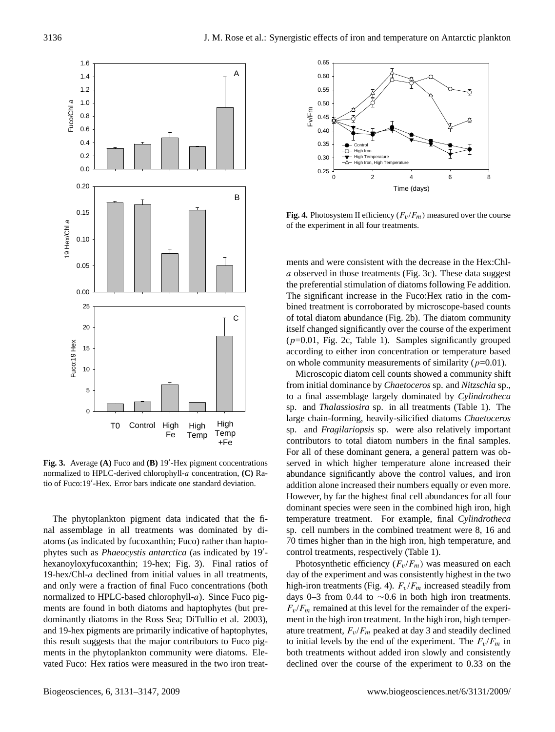

Fig. 3. Average (A) Fuco and (B) 19'-Hex pigment concentrations normalized to HPLC-derived chlorophyll-a concentration, **(C)** Ratio of Fuco:19'-Hex. Error bars indicate one standard deviation.

The phytoplankton pigment data indicated that the final assemblage in all treatments was dominated by diatoms (as indicated by fucoxanthin; Fuco) rather than haptophytes such as *Phaeocystis antarctica* (as indicated by 19'hexanoyloxyfucoxanthin; 19-hex; Fig. 3). Final ratios of 19-hex/Chl-a declined from initial values in all treatments, and only were a fraction of final Fuco concentrations (both normalized to HPLC-based chlorophyll-a). Since Fuco pigments are found in both diatoms and haptophytes (but predominantly diatoms in the Ross Sea; DiTullio et al. 2003), and 19-hex pigments are primarily indicative of haptophytes, this result suggests that the major contributors to Fuco pigments in the phytoplankton community were diatoms. Elevated Fuco: Hex ratios were measured in the two iron treat-



**Fig. 4.** Photosystem II efficiency  $(F_v/F_m)$  measured over the course of the experiment in all four treatments.

itself changed significantly over the course of the experiment ments and were consistent with the decrease in the Hex:Chla observed in those treatments (Fig. 3c). These data suggest the preferential stimulation of diatoms following Fe addition. The significant increase in the Fuco:Hex ratio in the combined treatment is corroborated by microscope-based counts of total diatom abundance (Fig. 2b). The diatom community  $(p=0.01,$  Fig. 2c, Table 1). Samples significantly grouped according to either iron concentration or temperature based on whole community measurements of similarity ( $p=0.01$ ).

Microscopic diatom cell counts showed a community shift from initial dominance by *Chaetoceros* sp. and *Nitzschia* sp., to a final assemblage largely dominated by *Cylindrotheca* sp. and *Thalassiosira* sp. in all treatments (Table 1). The large chain-forming, heavily-silicified diatoms *Chaetoceros* sp. and *Fragilariopsis* sp. were also relatively important contributors to total diatom numbers in the final samples. For all of these dominant genera, a general pattern was observed in which higher temperature alone increased their abundance significantly above the control values, and iron addition alone increased their numbers equally or even more. However, by far the highest final cell abundances for all four dominant species were seen in the combined high iron, high temperature treatment. For example, final *Cylindrotheca* sp. cell numbers in the combined treatment were 8, 16 and 70 times higher than in the high iron, high temperature, and control treatments, respectively (Table 1).

Photosynthetic efficiency  $(F_v/F_m)$  was measured on each day of the experiment and was consistently highest in the two high-iron treatments (Fig. 4).  $F_v/F_m$  increased steadily from days 0–3 from 0.44 to ∼0.6 in both high iron treatments.  $F_v/F_m$  remained at this level for the remainder of the experiment in the high iron treatment. In the high iron, high temperature treatment,  $F_v/F_m$  peaked at day 3 and steadily declined to initial levels by the end of the experiment. The  $F_v/F_m$  in both treatments without added iron slowly and consistently declined over the course of the experiment to 0.33 on the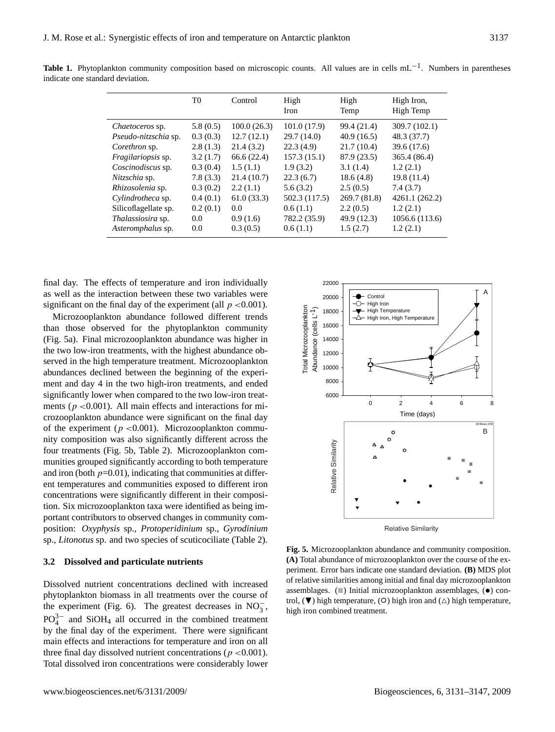|                           | T <sub>0</sub> | Control       | High<br>Iron  | High<br>Temp | High Iron,<br>High Temp |
|---------------------------|----------------|---------------|---------------|--------------|-------------------------|
| <i>Chaetoceros</i> sp.    | 5.8(0.5)       | 100.0(26.3)   | 101.0(17.9)   | 99.4 (21.4)  | 309.7 (102.1)           |
| Pseudo-nitzschia sp.      | 0.3(0.3)       | 12.7(12.1)    | 29.7(14.0)    | 40.9(16.5)   | 48.3 (37.7)             |
| Corethron sp.             | 2.8(1.3)       | 21.4(3.2)     | 22.3(4.9)     | 21.7(10.4)   | 39.6 (17.6)             |
| <i>Fragilariopsis</i> sp. | 3.2(1.7)       | 66.6(22.4)    | 157.3(15.1)   | 87.9 (23.5)  | 365.4 (86.4)            |
| Coscinodiscus sp.         | 0.3(0.4)       | 1.5(1.1)      | 1.9(3.2)      | 3.1(1.4)     | 1.2(2.1)                |
| Nitzschia sp.             | 7.8(3.3)       | 21.4(10.7)    | 22.3(6.7)     | 18.6(4.8)    | 19.8(11.4)              |
| Rhizosolenia sp.          | 0.3(0.2)       | 2.2(1.1)      | 5.6(3.2)      | 2.5(0.5)     | 7.4(3.7)                |
| Cylindrotheca sp.         | 0.4(0.1)       | 61.0(33.3)    | 502.3 (117.5) | 269.7(81.8)  | 4261.1 (262.2)          |
| Silicoflagellate sp.      | 0.2(0.1)       | $0.0^{\circ}$ | 0.6(1.1)      | 2.2(0.5)     | 1.2(2.1)                |
| <i>Thalassiosira</i> sp.  | 0.0            | 0.9(1.6)      | 782.2 (35.9)  | 49.9 (12.3)  | 1056.6 (113.6)          |
| Asteromphalus sp.         | 0.0            | 0.3(0.5)      | 0.6(1.1)      | 1.5(2.7)     | 1.2(2.1)                |

Table 1. Phytoplankton community composition based on microscopic counts. All values are in cells mL<sup>-1</sup>. Numbers in parentheses indicate one standard deviation.

final day. The effects of temperature and iron individually as well as the interaction between these two variables were significant on the final day of the experiment (all  $p < 0.001$ ).

Microzooplankton abundance followed different trends than those observed for the phytoplankton community (Fig. 5a). Final microzooplankton abundance was higher in the two low-iron treatments, with the highest abundance observed in the high temperature treatment. Microzooplankton abundances declined between the beginning of the experiment and day 4 in the two high-iron treatments, and ended significantly lower when compared to the two low-iron treatments ( $p < 0.001$ ). All main effects and interactions for microzooplankton abundance were significant on the final day of the experiment ( $p < 0.001$ ). Microzooplankton community composition was also significantly different across the four treatments (Fig. 5b, Table 2). Microzooplankton communities grouped significantly according to both temperature and iron (both  $p=0.01$ ), indicating that communities at different temperatures and communities exposed to different iron concentrations were significantly different in their composition. Six microzooplankton taxa were identified as being important contributors to observed changes in community composition: *Oxyphysis* sp., *Protoperidinium* sp., *Gyrodinium* sp., *Litonotus* sp. and two species of scuticociliate (Table 2).

## **3.2 Dissolved and particulate nutrients**

Dissolved nutrient concentrations declined with increased phytoplankton biomass in all treatments over the course of the experiment (Fig. 6). The greatest decreases in  $NO_3^-$ ,  $PO_4^{3-}$  and SiOH<sub>4</sub> all occurred in the combined treatment by the final day of the experiment. There were significant main effects and interactions for temperature and iron on all three final day dissolved nutrient concentrations ( $p < 0.001$ ). Total dissolved iron concentrations were considerably lower



**Relative Similarity** 

**Fig. 5.** Microzooplankton abundance and community composition. **(A)** Total abundance of microzooplankton over the course of the experiment. Error bars indicate one standard deviation. **(B)** MDS plot of relative similarities among initial and final day microzooplankton assemblages.  $(\blacksquare)$  Initial microzooplankton assemblages,  $(\bullet)$  con- $\text{d}s$  trol, ( $\nabla$ ) high temperature, ( $\text{O}$ ) high iron and ( $\Delta$ ) high temperature, high iron combined treatment.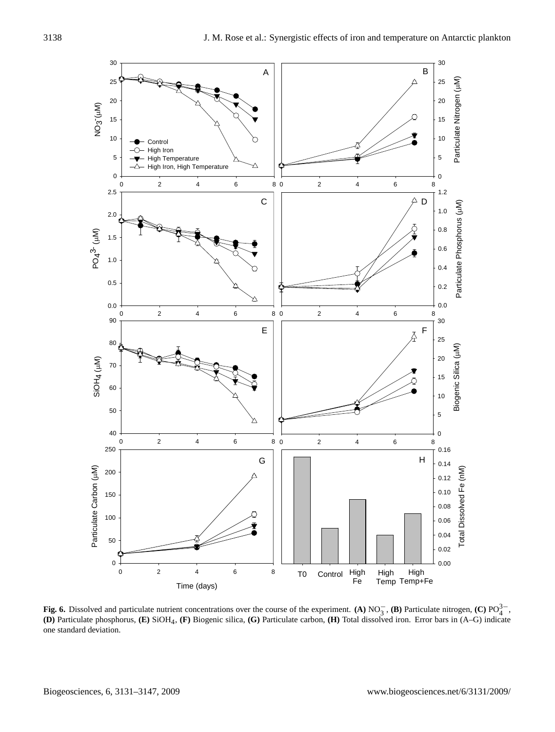

**Fig. 6.** Dissolved and particulate nutrient concentrations over the course of the experiment. **(A)** NO<sub>3</sub><sup>-</sup>, **(B)** Particulate nitrogen, **(C)** PO<sub>4</sub><sup>-</sup><sub>1</sub>, **(D)** Particulate phosphorus, **(E)** SiOH4, **(F)** Biogenic silica, **(G)** Particulate carbon, **(H)** Total dissolved iron. Error bars in (A–G) indicate one standard deviation.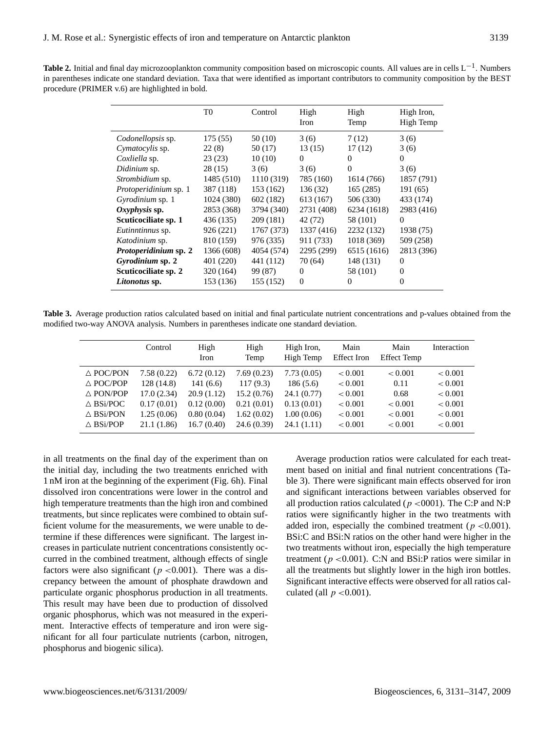**Table 2.** Initial and final day microzooplankton community composition based on microscopic counts. All values are in cells L−<sup>1</sup> . Numbers in parentheses indicate one standard deviation. Taxa that were identified as important contributors to community composition by the BEST procedure (PRIMER v.6) are highlighted in bold.

|                              | T0         | Control    | High<br>Iron   | High<br>Temp | High Iron,<br>High Temp |
|------------------------------|------------|------------|----------------|--------------|-------------------------|
| Codonellopsis sp.            | 175 (55)   | 50 (10)    | 3(6)           | 7(12)        | 3(6)                    |
| Cymatocylis sp.              | 22(8)      | 50 (17)    | 13 (15)        | 17(12)       | 3(6)                    |
| Coxliella sp.                | 23(23)     | 10(10)     | $\Omega$       | $\Omega$     | 0                       |
| Didinium sp.                 | 28 (15)    | 3(6)       | 3(6)           | $\Omega$     | 3(6)                    |
| Strombidium sp.              | 1485 (510) | 1110 (319) | 785 (160)      | 1614 (766)   | 1857 (791)              |
| Protoperidinium sp. 1        | 387 (118)  | 153 (162)  | 136 (32)       | 165(285)     | 191 (65)                |
| Gyrodinium sp. 1             | 1024 (380) | 602 (182)  | 613 (167)      | 506 (330)    | 433 (174)               |
| $Oxyphysis$ sp.              | 2853 (368) | 3794 (340) | 2731 (408)     | 6234 (1618)  | 2983 (416)              |
| Scuticociliate sp. 1         | 436 (135)  | 209 (181)  | 42 (72)        | 58 (101)     | 0                       |
| Eutinntinnus sp.             | 926 (221)  | 1767 (373) | 1337 (416)     | 2232 (132)   | 1938 (75)               |
| Katodinium sp.               | 810 (159)  | 976 (335)  | 911 (733)      | 1018 (369)   | 509 (258)               |
| <i>Protoperidinium</i> sp. 2 | 1366 (608) | 4054 (574) | 2295 (299)     | 6515 (1616)  | 2813 (396)              |
| Gyrodinium sp. 2             | 401 (220)  | 441 (112)  | 70 (64)        | 148 (131)    | 0                       |
| Scuticociliate sp. 2         | 320 (164)  | 99 (87)    | $\overline{0}$ | 58 (101)     | 0                       |
| Litonotus sp.                | 153 (136)  | 155 (152)  | $\Omega$       | $\Omega$     | 0                       |

**Table 3.** Average production ratios calculated based on initial and final particulate nutrient concentrations and p-values obtained from the modified two-way ANOVA analysis. Numbers in parentheses indicate one standard deviation.

|                     | Control    | High<br>Iron | High<br>Temp | High Iron,<br>High Temp | Main<br><b>Effect</b> Iron | Main<br><b>Effect Temp</b> | Interaction |
|---------------------|------------|--------------|--------------|-------------------------|----------------------------|----------------------------|-------------|
| $\triangle$ POC/PON | 7.58(0.22) | 6.72(0.12)   | 7.69(0.23)   | 7.73(0.05)              | < 0.001                    | < 0.001                    | < 0.001     |
| $\triangle$ POC/POP | 128 (14.8) | 141(6.6)     | 117(9.3)     | 186(5.6)                | < 0.001                    | 0.11                       | < 0.001     |
| $\triangle$ PON/POP | 17.0(2.34) | 20.9(1.12)   | 15.2(0.76)   | 24.1 (0.77)             | < 0.001                    | 0.68                       | < 0.001     |
| $\triangle$ BSi/POC | 0.17(0.01) | 0.12(0.00)   | 0.21(0.01)   | 0.13(0.01)              | < 0.001                    | < 0.001                    | < 0.001     |
| $\triangle$ BSi/PON | 1.25(0.06) | 0.80(0.04)   | 1.62(0.02)   | 1.00(0.06)              | < 0.001                    | < 0.001                    | < 0.001     |
| $\triangle$ BSi/POP | 21.1(1.86) | 16.7(0.40)   | 24.6 (0.39)  | 24.1(1.11)              | < 0.001                    | < 0.001                    | < 0.001     |

in all treatments on the final day of the experiment than on the initial day, including the two treatments enriched with 1 nM iron at the beginning of the experiment (Fig. 6h). Final dissolved iron concentrations were lower in the control and high temperature treatments than the high iron and combined treatments, but since replicates were combined to obtain sufficient volume for the measurements, we were unable to determine if these differences were significant. The largest increases in particulate nutrient concentrations consistently occurred in the combined treatment, although effects of single factors were also significant ( $p < 0.001$ ). There was a discrepancy between the amount of phosphate drawdown and particulate organic phosphorus production in all treatments. This result may have been due to production of dissolved organic phosphorus, which was not measured in the experiment. Interactive effects of temperature and iron were significant for all four particulate nutrients (carbon, nitrogen, phosphorus and biogenic silica).

Average production ratios were calculated for each treatment based on initial and final nutrient concentrations (Table 3). There were significant main effects observed for iron and significant interactions between variables observed for all production ratios calculated ( $p < 0001$ ). The C:P and N:P ratios were significantly higher in the two treatments with added iron, especially the combined treatment ( $p < 0.001$ ). BSi:C and BSi:N ratios on the other hand were higher in the two treatments without iron, especially the high temperature treatment ( $p < 0.001$ ). C:N and BSi:P ratios were similar in all the treatments but slightly lower in the high iron bottles. Significant interactive effects were observed for all ratios calculated (all  $p < 0.001$ ).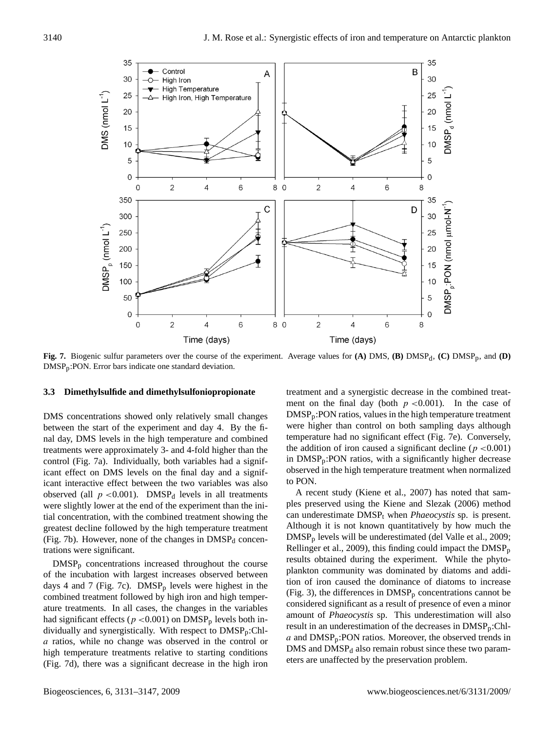

**Fig. 7.** Biogenic sulfur parameters over the course of the experiment. Average values for  $(A)$  DMS,  $(B)$  DMSP<sub>d</sub>,  $(C)$  DMSP<sub>p</sub>, and  $(D)$ DMSPp:PON. Error bars indicate one standard deviation.

#### **3.3 Dimethylsulfide and dimethylsulfoniopropionate**

DMS concentrations showed only relatively small changes between the start of the experiment and day 4. By the final day, DMS levels in the high temperature and combined treatments were approximately 3- and 4-fold higher than the control (Fig. 7a). Individually, both variables had a significant effect on DMS levels on the final day and a significant interactive effect between the two variables was also observed (all  $p < 0.001$ ). DMSP<sub>d</sub> levels in all treatments were slightly lower at the end of the experiment than the initial concentration, with the combined treatment showing the greatest decline followed by the high temperature treatment (Fig. 7b). However, none of the changes in  $DMSP<sub>d</sub>$  concentrations were significant.

DMSP<sup>p</sup> concentrations increased throughout the course of the incubation with largest increases observed between days 4 and 7 (Fig. 7c).  $DMSP<sub>p</sub>$  levels were highest in the combined treatment followed by high iron and high temperature treatments. In all cases, the changes in the variables had significant effects ( $p < 0.001$ ) on DMSP<sub>p</sub> levels both individually and synergistically. With respect to DMSPp:Chla ratios, while no change was observed in the control or high temperature treatments relative to starting conditions (Fig. 7d), there was a significant decrease in the high iron treatment and a synergistic decrease in the combined treatment on the final day (both  $p < 0.001$ ). In the case of DMSPp:PON ratios, values in the high temperature treatment were higher than control on both sampling days although temperature had no significant effect (Fig. 7e). Conversely, the addition of iron caused a significant decline ( $p < 0.001$ ) in DMSPp:PON ratios, with a significantly higher decrease observed in the high temperature treatment when normalized to PON.

A recent study (Kiene et al., 2007) has noted that samples preserved using the Kiene and Slezak (2006) method can underestimate DMSP<sup>t</sup> when *Phaeocystis* sp. is present. Although it is not known quantitatively by how much the DMSP<sup>p</sup> levels will be underestimated (del Valle et al., 2009; Rellinger et al., 2009), this finding could impact the  $\text{DMSP}_{p}$ results obtained during the experiment. While the phytoplankton community was dominated by diatoms and addition of iron caused the dominance of diatoms to increase (Fig. 3), the differences in  $DMSP<sub>p</sub>$  concentrations cannot be considered significant as a result of presence of even a minor amount of *Phaeocystis* sp. This underestimation will also result in an underestimation of the decreases in DMSPp:Chl $a$  and DMSP<sub>p</sub>:PON ratios. Moreover, the observed trends in  $DMS$  and  $DMSP<sub>d</sub>$  also remain robust since these two parameters are unaffected by the preservation problem.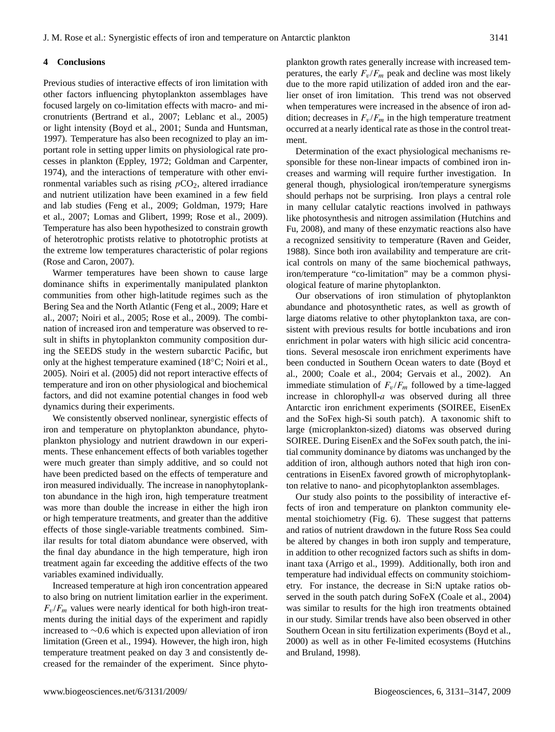### **4 Conclusions**

Previous studies of interactive effects of iron limitation with other factors influencing phytoplankton assemblages have focused largely on co-limitation effects with macro- and micronutrients (Bertrand et al., 2007; Leblanc et al., 2005) or light intensity (Boyd et al., 2001; Sunda and Huntsman, 1997). Temperature has also been recognized to play an important role in setting upper limits on physiological rate processes in plankton (Eppley, 1972; Goldman and Carpenter, 1974), and the interactions of temperature with other environmental variables such as rising  $pCO<sub>2</sub>$ , altered irradiance and nutrient utilization have been examined in a few field and lab studies (Feng et al., 2009; Goldman, 1979; Hare et al., 2007; Lomas and Glibert, 1999; Rose et al., 2009). Temperature has also been hypothesized to constrain growth of heterotrophic protists relative to phototrophic protists at the extreme low temperatures characteristic of polar regions (Rose and Caron, 2007).

Warmer temperatures have been shown to cause large dominance shifts in experimentally manipulated plankton communities from other high-latitude regimes such as the Bering Sea and the North Atlantic (Feng et al., 2009; Hare et al., 2007; Noiri et al., 2005; Rose et al., 2009). The combination of increased iron and temperature was observed to result in shifts in phytoplankton community composition during the SEEDS study in the western subarctic Pacific, but only at the highest temperature examined (18◦C; Noiri et al., 2005). Noiri et al. (2005) did not report interactive effects of temperature and iron on other physiological and biochemical factors, and did not examine potential changes in food web dynamics during their experiments.

We consistently observed nonlinear, synergistic effects of iron and temperature on phytoplankton abundance, phytoplankton physiology and nutrient drawdown in our experiments. These enhancement effects of both variables together were much greater than simply additive, and so could not have been predicted based on the effects of temperature and iron measured individually. The increase in nanophytoplankton abundance in the high iron, high temperature treatment was more than double the increase in either the high iron or high temperature treatments, and greater than the additive effects of those single-variable treatments combined. Similar results for total diatom abundance were observed, with the final day abundance in the high temperature, high iron treatment again far exceeding the additive effects of the two variables examined individually.

Increased temperature at high iron concentration appeared to also bring on nutrient limitation earlier in the experiment.  $F_v/F_m$  values were nearly identical for both high-iron treatments during the initial days of the experiment and rapidly increased to ∼0.6 which is expected upon alleviation of iron limitation (Green et al., 1994). However, the high iron, high temperature treatment peaked on day 3 and consistently decreased for the remainder of the experiment. Since phytoplankton growth rates generally increase with increased temperatures, the early  $F_v/F_m$  peak and decline was most likely due to the more rapid utilization of added iron and the earlier onset of iron limitation. This trend was not observed when temperatures were increased in the absence of iron addition; decreases in  $F_v/F_m$  in the high temperature treatment occurred at a nearly identical rate as those in the control treatment.

Determination of the exact physiological mechanisms responsible for these non-linear impacts of combined iron increases and warming will require further investigation. In general though, physiological iron/temperature synergisms should perhaps not be surprising. Iron plays a central role in many cellular catalytic reactions involved in pathways like photosynthesis and nitrogen assimilation (Hutchins and Fu, 2008), and many of these enzymatic reactions also have a recognized sensitivity to temperature (Raven and Geider, 1988). Since both iron availability and temperature are critical controls on many of the same biochemical pathways, iron/temperature "co-limitation" may be a common physiological feature of marine phytoplankton.

Our observations of iron stimulation of phytoplankton abundance and photosynthetic rates, as well as growth of large diatoms relative to other phytoplankton taxa, are consistent with previous results for bottle incubations and iron enrichment in polar waters with high silicic acid concentrations. Several mesoscale iron enrichment experiments have been conducted in Southern Ocean waters to date (Boyd et al., 2000; Coale et al., 2004; Gervais et al., 2002). An immediate stimulation of  $F_v/F_m$  followed by a time-lagged increase in chlorophyll-a was observed during all three Antarctic iron enrichment experiments (SOIREE, EisenEx and the SoFex high-Si south patch). A taxonomic shift to large (microplankton-sized) diatoms was observed during SOIREE. During EisenEx and the SoFex south patch, the initial community dominance by diatoms was unchanged by the addition of iron, although authors noted that high iron concentrations in EisenEx favored growth of microphytoplankton relative to nano- and picophytoplankton assemblages.

Our study also points to the possibility of interactive effects of iron and temperature on plankton community elemental stoichiometry (Fig. 6). These suggest that patterns and ratios of nutrient drawdown in the future Ross Sea could be altered by changes in both iron supply and temperature, in addition to other recognized factors such as shifts in dominant taxa (Arrigo et al., 1999). Additionally, both iron and temperature had individual effects on community stoichiometry. For instance, the decrease in Si:N uptake ratios observed in the south patch during SoFeX (Coale et al., 2004) was similar to results for the high iron treatments obtained in our study. Similar trends have also been observed in other Southern Ocean in situ fertilization experiments (Boyd et al., 2000) as well as in other Fe-limited ecosystems (Hutchins and Bruland, 1998).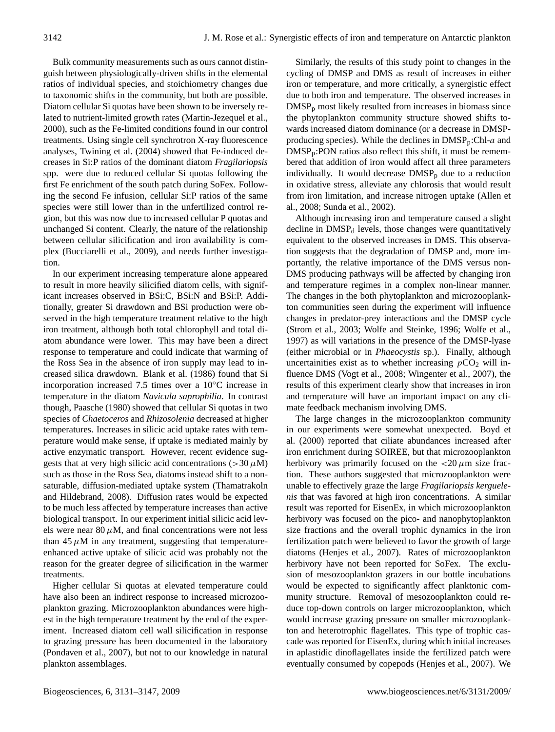Bulk community measurements such as ours cannot distinguish between physiologically-driven shifts in the elemental ratios of individual species, and stoichiometry changes due to taxonomic shifts in the community, but both are possible. Diatom cellular Si quotas have been shown to be inversely related to nutrient-limited growth rates (Martin-Jezequel et al., 2000), such as the Fe-limited conditions found in our control treatments. Using single cell synchrotron X-ray fluorescence analyses, Twining et al. (2004) showed that Fe-induced decreases in Si:P ratios of the dominant diatom *Fragilariopsis* spp. were due to reduced cellular Si quotas following the first Fe enrichment of the south patch during SoFex. Following the second Fe infusion, cellular Si:P ratios of the same species were still lower than in the unfertilized control region, but this was now due to increased cellular P quotas and unchanged Si content. Clearly, the nature of the relationship between cellular silicification and iron availability is complex (Bucciarelli et al., 2009), and needs further investigation.

In our experiment increasing temperature alone appeared to result in more heavily silicified diatom cells, with significant increases observed in BSi:C, BSi:N and BSi:P. Additionally, greater Si drawdown and BSi production were observed in the high temperature treatment relative to the high iron treatment, although both total chlorophyll and total diatom abundance were lower. This may have been a direct response to temperature and could indicate that warming of the Ross Sea in the absence of iron supply may lead to increased silica drawdown. Blank et al. (1986) found that Si incorporation increased 7.5 times over a 10◦C increase in temperature in the diatom *Navicula saprophilia*. In contrast though, Paasche (1980) showed that cellular Si quotas in two species of *Chaetoceros* and *Rhizosolenia* decreased at higher temperatures. Increases in silicic acid uptake rates with temperature would make sense, if uptake is mediated mainly by active enzymatic transport. However, recent evidence suggests that at very high silicic acid concentrations ( $>$ 30 $\mu$ M) such as those in the Ross Sea, diatoms instead shift to a nonsaturable, diffusion-mediated uptake system (Thamatrakoln and Hildebrand, 2008). Diffusion rates would be expected to be much less affected by temperature increases than active biological transport. In our experiment initial silicic acid levels were near 80  $\mu$ M, and final concentrations were not less than  $45 \mu$ M in any treatment, suggesting that temperatureenhanced active uptake of silicic acid was probably not the reason for the greater degree of silicification in the warmer treatments.

Higher cellular Si quotas at elevated temperature could have also been an indirect response to increased microzooplankton grazing. Microzooplankton abundances were highest in the high temperature treatment by the end of the experiment. Increased diatom cell wall silicification in response to grazing pressure has been documented in the laboratory (Pondaven et al., 2007), but not to our knowledge in natural plankton assemblages.

Similarly, the results of this study point to changes in the cycling of DMSP and DMS as result of increases in either iron or temperature, and more critically, a synergistic effect due to both iron and temperature. The observed increases in  $DMSP<sub>p</sub>$  most likely resulted from increases in biomass since the phytoplankton community structure showed shifts towards increased diatom dominance (or a decrease in DMSPproducing species). While the declines in  $\text{DMSP}_p:\text{Chl-}a$  and  $DMSP_p: PON$  ratios also reflect this shift, it must be remembered that addition of iron would affect all three parameters individually. It would decrease  $DMSP_p$  due to a reduction in oxidative stress, alleviate any chlorosis that would result from iron limitation, and increase nitrogen uptake (Allen et al., 2008; Sunda et al., 2002).

Although increasing iron and temperature caused a slight decline in DMSP<sub>d</sub> levels, those changes were quantitatively equivalent to the observed increases in DMS. This observation suggests that the degradation of DMSP and, more importantly, the relative importance of the DMS versus non-DMS producing pathways will be affected by changing iron and temperature regimes in a complex non-linear manner. The changes in the both phytoplankton and microzooplankton communities seen during the experiment will influence changes in predator-prey interactions and the DMSP cycle (Strom et al., 2003; Wolfe and Steinke, 1996; Wolfe et al., 1997) as will variations in the presence of the DMSP-lyase (either microbial or in *Phaeocystis* sp.). Finally, although uncertainities exist as to whether increasing  $pCO<sub>2</sub>$  will influence DMS (Vogt et al., 2008; Wingenter et al., 2007), the results of this experiment clearly show that increases in iron and temperature will have an important impact on any climate feedback mechanism involving DMS.

The large changes in the microzooplankton community in our experiments were somewhat unexpected. Boyd et al. (2000) reported that ciliate abundances increased after iron enrichment during SOIREE, but that microzooplankton herbivory was primarily focused on the  $\langle 20 \mu m \rangle$  size fraction. These authors suggested that microzooplankton were unable to effectively graze the large *Fragilariopsis kerguelenis* that was favored at high iron concentrations. A similar result was reported for EisenEx, in which microzooplankton herbivory was focused on the pico- and nanophytoplankton size fractions and the overall trophic dynamics in the iron fertilization patch were believed to favor the growth of large diatoms (Henjes et al., 2007). Rates of microzooplankton herbivory have not been reported for SoFex. The exclusion of mesozooplankton grazers in our bottle incubations would be expected to significantly affect planktonic community structure. Removal of mesozooplankton could reduce top-down controls on larger microzooplankton, which would increase grazing pressure on smaller microzooplankton and heterotrophic flagellates. This type of trophic cascade was reported for EisenEx, during which initial increases in aplastidic dinoflagellates inside the fertilized patch were eventually consumed by copepods (Henjes et al., 2007). We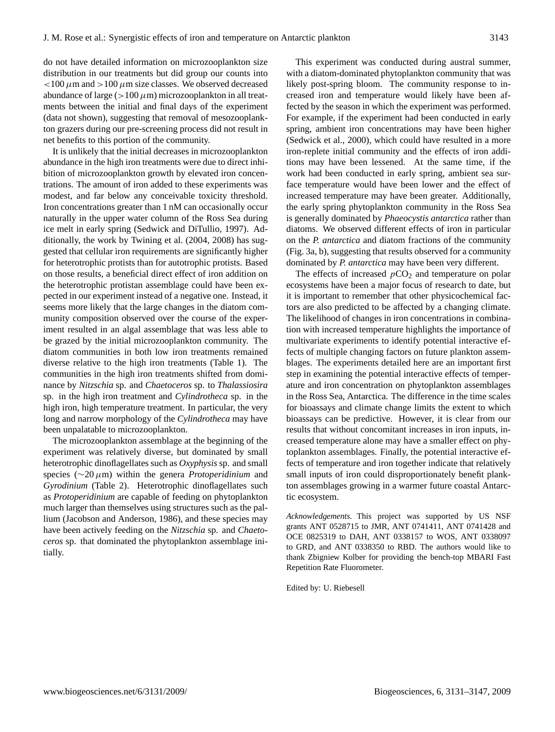do not have detailed information on microzooplankton size distribution in our treatments but did group our counts into  $<$ 100  $\mu$ m and  $>$ 100  $\mu$ m size classes. We observed decreased abundance of large ( $>100 \mu$ m) microzooplankton in all treatments between the initial and final days of the experiment (data not shown), suggesting that removal of mesozooplankton grazers during our pre-screening process did not result in net benefits to this portion of the community.

It is unlikely that the initial decreases in microzooplankton abundance in the high iron treatments were due to direct inhibition of microzooplankton growth by elevated iron concentrations. The amount of iron added to these experiments was modest, and far below any conceivable toxicity threshold. Iron concentrations greater than 1 nM can occasionally occur naturally in the upper water column of the Ross Sea during ice melt in early spring (Sedwick and DiTullio, 1997). Additionally, the work by Twining et al. (2004, 2008) has suggested that cellular iron requirements are significantly higher for heterotrophic protists than for autotrophic protists. Based on those results, a beneficial direct effect of iron addition on the heterotrophic protistan assemblage could have been expected in our experiment instead of a negative one. Instead, it seems more likely that the large changes in the diatom community composition observed over the course of the experiment resulted in an algal assemblage that was less able to be grazed by the initial microzooplankton community. The diatom communities in both low iron treatments remained diverse relative to the high iron treatments (Table 1). The communities in the high iron treatments shifted from dominance by *Nitzschia* sp. and *Chaetoceros* sp. to *Thalassiosira* sp. in the high iron treatment and *Cylindrotheca* sp. in the high iron, high temperature treatment. In particular, the very long and narrow morphology of the *Cylindrotheca* may have been unpalatable to microzooplankton.

The microzooplankton assemblage at the beginning of the experiment was relatively diverse, but dominated by small heterotrophic dinoflagellates such as *Oxyphysis* sp. and small species (∼20µm) within the genera *Protoperidinium* and *Gyrodinium* (Table 2). Heterotrophic dinoflagellates such as *Protoperidinium* are capable of feeding on phytoplankton much larger than themselves using structures such as the pallium (Jacobson and Anderson, 1986), and these species may have been actively feeding on the *Nitzschia* sp. and *Chaetoceros* sp. that dominated the phytoplankton assemblage initially.

This experiment was conducted during austral summer, with a diatom-dominated phytoplankton community that was likely post-spring bloom. The community response to increased iron and temperature would likely have been affected by the season in which the experiment was performed. For example, if the experiment had been conducted in early spring, ambient iron concentrations may have been higher (Sedwick et al., 2000), which could have resulted in a more iron-replete initial community and the effects of iron additions may have been lessened. At the same time, if the work had been conducted in early spring, ambient sea surface temperature would have been lower and the effect of increased temperature may have been greater. Additionally, the early spring phytoplankton community in the Ross Sea is generally dominated by *Phaeocystis antarctica* rather than diatoms. We observed different effects of iron in particular on the *P. antarctica* and diatom fractions of the community (Fig. 3a, b), suggesting that results observed for a community dominated by *P. antarctica* may have been very different.

The effects of increased  $pCO<sub>2</sub>$  and temperature on polar ecosystems have been a major focus of research to date, but it is important to remember that other physicochemical factors are also predicted to be affected by a changing climate. The likelihood of changes in iron concentrations in combination with increased temperature highlights the importance of multivariate experiments to identify potential interactive effects of multiple changing factors on future plankton assemblages. The experiments detailed here are an important first step in examining the potential interactive effects of temperature and iron concentration on phytoplankton assemblages in the Ross Sea, Antarctica. The difference in the time scales for bioassays and climate change limits the extent to which bioassays can be predictive. However, it is clear from our results that without concomitant increases in iron inputs, increased temperature alone may have a smaller effect on phytoplankton assemblages. Finally, the potential interactive effects of temperature and iron together indicate that relatively small inputs of iron could disproportionately benefit plankton assemblages growing in a warmer future coastal Antarctic ecosystem.

*Acknowledgements.* This project was supported by US NSF grants ANT 0528715 to JMR, ANT 0741411, ANT 0741428 and OCE 0825319 to DAH, ANT 0338157 to WOS, ANT 0338097 to GRD, and ANT 0338350 to RBD. The authors would like to thank Zbigniew Kolber for providing the bench-top MBARI Fast Repetition Rate Fluorometer.

Edited by: U. Riebesell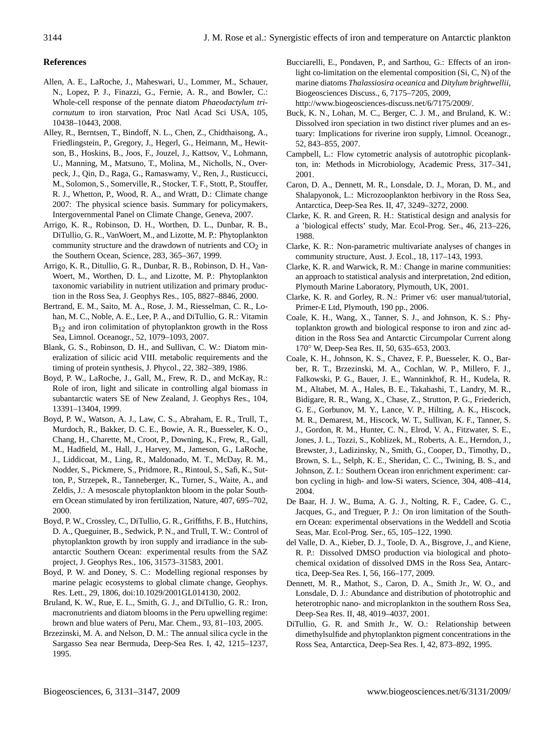# **References**

- Allen, A. E., LaRoche, J., Maheswari, U., Lommer, M., Schauer, N., Lopez, P. J., Finazzi, G., Fernie, A. R., and Bowler, C.: Whole-cell response of the pennate diatom *Phaeodactylum tricornutum* to iron starvation, Proc Natl Acad Sci USA, 105, 10438–10443, 2008.
- Alley, R., Berntsen, T., Bindoff, N. L., Chen, Z., Chidthaisong, A., Friedlingstein, P., Gregory, J., Hegerl, G., Heimann, M., Hewitson, B., Hoskins, B., Joos, F., Jouzel, J., Kattsov, V., Lohmann, U., Manning, M., Matsuno, T., Molina, M., Nicholls, N., Overpeck, J., Qin, D., Raga, G., Ramaswamy, V., Ren, J., Rusticucci, M., Solomon, S., Somerville, R., Stocker, T. F., Stott, P., Stouffer, R. J., Whetton, P., Wood, R. A., and Wratt, D.: Climate change 2007: The physical science basis. Summary for policymakers, Intergovernmental Panel on Climate Change, Geneva, 2007.
- Arrigo, K. R., Robinson, D. H., Worthen, D. L., Dunbar, R. B., DiTullio, G. R., VanWoert, M., and Lizotte, M. P.: Phytoplankton community structure and the drawdown of nutrients and  $CO<sub>2</sub>$  in the Southern Ocean, Science, 283, 365–367, 1999.
- Arrigo, K. R., Ditullio, G. R., Dunbar, R. B., Robinson, D. H., Van-Woert, M., Worthen, D. L., and Lizotte, M. P.: Phytoplankton taxonomic variability in nutrient utilization and primary production in the Ross Sea, J. Geophys Res., 105, 8827–8846, 2000.
- Bertrand, E. M., Saito, M. A., Rose, J. M., Riesselman, C. R., Lohan, M. C., Noble, A. E., Lee, P. A., and DiTullio, G. R.: Vitamin  $B_{12}$  and iron colimitation of phytoplankton growth in the Ross Sea, Limnol. Oceanogr., 52, 1079–1093, 2007.
- Blank, G. S., Robinson, D. H., and Sullivan, C. W.: Diatom mineralization of silicic acid VIII. metabolic requirements and the timing of protein synthesis, J. Phycol., 22, 382–389, 1986.
- Boyd, P. W., LaRoche, J., Gall, M., Frew, R. D., and McKay, R.: Role of iron, light and silicate in controlling algal biomass in subantarctic waters SE of New Zealand, J. Geophys Res., 104, 13391–13404, 1999.
- Boyd, P. W., Watson, A. J., Law, C. S., Abraham, E. R., Trull, T., Murdoch, R., Bakker, D. C. E., Bowie, A. R., Buesseler, K. O., Chang, H., Charette, M., Croot, P., Downing, K., Frew, R., Gall, M., Hadfield, M., Hall, J., Harvey, M., Jameson, G., LaRoche, J., Liddicoat, M., Ling, R., Maldonado, M. T., McDay, R. M., Nodder, S., Pickmere, S., Pridmore, R., Rintoul, S., Safi, K., Sutton, P., Strzepek, R., Tanneberger, K., Turner, S., Waite, A., and Zeldis, J.: A mesoscale phytoplankton bloom in the polar Southern Ocean stimulated by iron fertilization, Nature, 407, 695–702, 2000.
- Boyd, P. W., Crossley, C., DiTullio, G. R., Griffiths, F. B., Hutchins, D. A., Queguiner, B., Sedwick, P. N., and Trull, T. W.: Control of phytoplankton growth by iron supply and irradiance in the subantarctic Southern Ocean: experimental results from the SAZ project, J. Geophys Res., 106, 31573–31583, 2001.
- Boyd, P. W. and Doney, S. C.: Modelling regional responses by marine pelagic ecosystems to global climate change, Geophys. Res. Lett., 29, 1806, doi:10.1029/2001GL014130, 2002.
- Bruland, K. W., Rue, E. L., Smith, G. J., and DiTullio, G. R.: Iron, macronutrients and diatom blooms in the Peru upwelling regime: brown and blue waters of Peru, Mar. Chem., 93, 81–103, 2005.
- Brzezinski, M. A. and Nelson, D. M.: The annual silica cycle in the Sargasso Sea near Bermuda, Deep-Sea Res. I, 42, 1215–1237, 1995.
- Bucciarelli, E., Pondaven, P., and Sarthou, G.: Effects of an ironlight co-limitation on the elemental composition (Si, C, N) of the marine diatoms *Thalassiosira oceanica* and *Ditylum brightwellii*, Biogeosciences Discuss., 6, 7175–7205, 2009, [http://www.biogeosciences-discuss.net/6/7175/2009/.](http://www.biogeosciences-discuss.net/6/7175/2009/)
- Buck, K. N., Lohan, M. C., Berger, C. J. M., and Bruland, K. W.: Dissolved iron speciation in two distinct river plumes and an estuary: Implications for riverine iron supply, Limnol. Oceanogr., 52, 843–855, 2007.
- Campbell, L.: Flow cytometric analysis of autotrophic picoplankton, in: Methods in Microbiology, Academic Press, 317–341, 2001.
- Caron, D. A., Dennett, M. R., Lonsdale, D. J., Moran, D. M., and Shalapyonok, L.: Microzooplankton herbivory in the Ross Sea, Antarctica, Deep-Sea Res. II, 47, 3249–3272, 2000.
- Clarke, K. R. and Green, R. H.: Statistical design and analysis for a 'biological effects' study, Mar. Ecol-Prog. Ser., 46, 213–226, 1988.
- Clarke, K. R.: Non-parametric multivariate analyses of changes in community structure, Aust. J. Ecol., 18, 117–143, 1993.
- Clarke, K. R. and Warwick, R. M.: Change in marine communities: an approach to statistical analysis and interpretation, 2nd edition, Plymouth Marine Laboratory, Plymouth, UK, 2001.
- Clarke, K. R. and Gorley, R. N.: Primer v6: user manual/tutorial, Primer-E Ltd, Plymouth, 190 pp., 2006.
- Coale, K. H., Wang, X., Tanner, S. J., and Johnson, K. S.: Phytoplankton growth and biological response to iron and zinc addition in the Ross Sea and Antarctic Circumpolar Current along 170◦ W, Deep-Sea Res. II, 50, 635–653, 2003.
- Coale, K. H., Johnson, K. S., Chavez, F. P., Buesseler, K. O., Barber, R. T., Brzezinski, M. A., Cochlan, W. P., Millero, F. J., Falkowski, P. G., Bauer, J. E., Wanninkhof, R. H., Kudela, R. M., Altabet, M. A., Hales, B. E., Takahashi, T., Landry, M. R., Bidigare, R. R., Wang, X., Chase, Z., Strutton, P. G., Friederich, G. E., Gorbunov, M. Y., Lance, V. P., Hilting, A. K., Hiscock, M. R., Demarest, M., Hiscock, W. T., Sullivan, K. F., Tanner, S. J., Gordon, R. M., Hunter, C. N., Elrod, V. A., Fitzwater, S. E., Jones, J. L., Tozzi, S., Koblizek, M., Roberts, A. E., Herndon, J., Brewster, J., Ladizinsky, N., Smith, G., Cooper, D., Timothy, D., Brown, S. L., Selph, K. E., Sheridan, C. C., Twining, B. S., and Johnson, Z. I.: Southern Ocean iron enrichment experiment: carbon cycling in high- and low-Si waters, Science, 304, 408–414, 2004.
- De Baar, H. J. W., Buma, A. G. J., Nolting, R. F., Cadee, G. C., Jacques, G., and Treguer, P. J.: On iron limitation of the Southern Ocean: experimental observations in the Weddell and Scotia Seas, Mar. Ecol-Prog. Ser., 65, 105–122, 1990.
- del Valle, D. A., Kieber, D. J., Toole, D. A., Bisgrove, J., and Kiene, R. P.: Dissolved DMSO production via biological and photochemical oxidation of dissolved DMS in the Ross Sea, Antarctica, Deep-Sea Res. I, 56, 166–177, 2009.
- Dennett, M. R., Mathot, S., Caron, D. A., Smith Jr., W. O., and Lonsdale, D. J.: Abundance and distribution of phototrophic and heterotrophic nano- and microplankton in the southern Ross Sea, Deep-Sea Res. II, 48, 4019–4037, 2001.
- DiTullio, G. R. and Smith Jr., W. O.: Relationship between dimethylsulfide and phytoplankton pigment concentrations in the Ross Sea, Antarctica, Deep-Sea Res. I, 42, 873–892, 1995.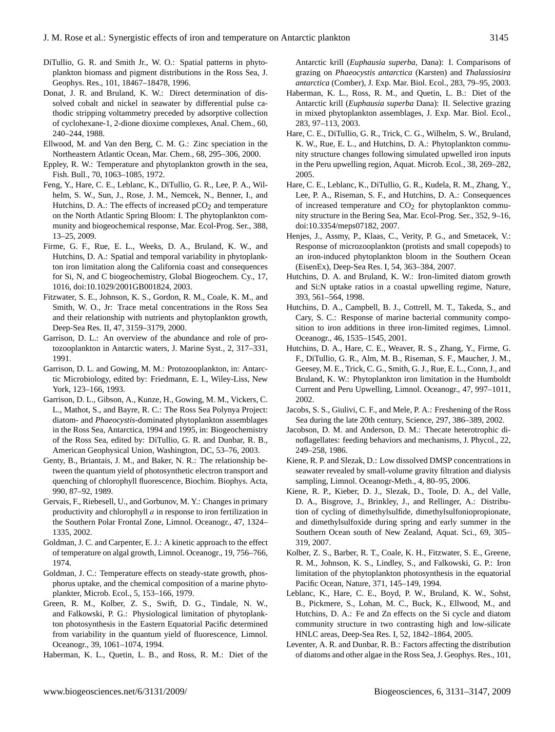- DiTullio, G. R. and Smith Jr., W. O.: Spatial patterns in phytoplankton biomass and pigment distributions in the Ross Sea, J. Geophys. Res., 101, 18467–18478, 1996.
- Donat, J. R. and Bruland, K. W.: Direct determination of dissolved cobalt and nickel in seawater by differential pulse cathodic stripping voltammetry preceded by adsorptive collection of cyclohexane-1, 2-dione dioxime complexes, Anal. Chem., 60, 240–244, 1988.
- Ellwood, M. and Van den Berg, C. M. G.: Zinc speciation in the Northeastern Atlantic Ocean, Mar. Chem., 68, 295–306, 2000.
- Eppley, R. W.: Temperature and phytoplankton growth in the sea, Fish. Bull., 70, 1063–1085, 1972.
- Feng, Y., Hare, C. E., Leblanc, K., DiTullio, G. R., Lee, P. A., Wilhelm, S. W., Sun, J., Rose, J. M., Nemcek, N., Benner, I., and Hutchins, D. A.: The effects of increased  $pCO<sub>2</sub>$  and temperature on the North Atlantic Spring Bloom: I. The phytoplankton community and biogeochemical response, Mar. Ecol-Prog. Ser., 388, 13–25, 2009.
- Firme, G. F., Rue, E. L., Weeks, D. A., Bruland, K. W., and Hutchins, D. A.: Spatial and temporal variability in phytoplankton iron limitation along the California coast and consequences for Si, N, and C biogeochemistry, Global Biogeochem. Cy., 17, 1016, doi:10.1029/2001GB001824, 2003.
- Fitzwater, S. E., Johnson, K. S., Gordon, R. M., Coale, K. M., and Smith, W. O., Jr: Trace metal concentrations in the Ross Sea and their relationship with nutrients and phytoplankton growth, Deep-Sea Res. II, 47, 3159–3179, 2000.
- Garrison, D. L.: An overview of the abundance and role of protozooplankton in Antarctic waters, J. Marine Syst., 2, 317–331, 1991.
- Garrison, D. L. and Gowing, M. M.: Protozooplankton, in: Antarctic Microbiology, edited by: Friedmann, E. I., Wiley-Liss, New York, 123–166, 1993.
- Garrison, D. L., Gibson, A., Kunze, H., Gowing, M. M., Vickers, C. L., Mathot, S., and Bayre, R. C.: The Ross Sea Polynya Project: diatom- and *Phaeocystis*-dominated phytoplankton assemblages in the Ross Sea, Antarctica, 1994 and 1995, in: Biogeochemistry of the Ross Sea, edited by: DiTullio, G. R. and Dunbar, R. B., American Geophysical Union, Washington, DC, 53–76, 2003.
- Genty, B., Briantais, J. M., and Baker, N. R.: The relationship between the quantum yield of photosynthetic electron transport and quenching of chlorophyll fluorescence, Biochim. Biophys. Acta, 990, 87–92, 1989.
- Gervais, F., Riebesell, U., and Gorbunov, M. Y.: Changes in primary productivity and chlorophyll  $a$  in response to iron fertilization in the Southern Polar Frontal Zone, Limnol. Oceanogr., 47, 1324– 1335, 2002.
- Goldman, J. C. and Carpenter, E. J.: A kinetic approach to the effect of temperature on algal growth, Limnol. Oceanogr., 19, 756–766, 1974.
- Goldman, J. C.: Temperature effects on steady-state growth, phosphorus uptake, and the chemical composition of a marine phytoplankter, Microb. Ecol., 5, 153–166, 1979.
- Green, R. M., Kolber, Z. S., Swift, D. G., Tindale, N. W., and Falkowski, P. G.: Physiological limitation of phytoplankton photosynthesis in the Eastern Equatorial Pacific determined from variability in the quantum yield of fluorescence, Limnol. Oceanogr., 39, 1061–1074, 1994.
- Haberman, K. L., Quetin, L. B., and Ross, R. M.: Diet of the

Antarctic krill (*Euphausia superba*, Dana): I. Comparisons of grazing on *Phaeocystis antarctica* (Karsten) and *Thalassiosira antarctica* (Comber), J. Exp. Mar. Biol. Ecol., 283, 79–95, 2003.

- Haberman, K. L., Ross, R. M., and Quetin, L. B.: Diet of the Antarctic krill (*Euphausia superba* Dana): II. Selective grazing in mixed phytoplankton assemblages, J. Exp. Mar. Biol. Ecol., 283, 97–113, 2003.
- Hare, C. E., DiTullio, G. R., Trick, C. G., Wilhelm, S. W., Bruland, K. W., Rue, E. L., and Hutchins, D. A.: Phytoplankton community structure changes following simulated upwelled iron inputs in the Peru upwelling region, Aquat. Microb. Ecol., 38, 269–282, 2005.
- Hare, C. E., Leblanc, K., DiTullio, G. R., Kudela, R. M., Zhang, Y., Lee, P. A., Riseman, S. F., and Hutchins, D. A.: Consequences of increased temperature and  $CO<sub>2</sub>$  for phytoplankton community structure in the Bering Sea, Mar. Ecol-Prog. Ser., 352, 9–16, doi:10.3354/meps07182, 2007.
- Henjes, J., Assmy, P., Klaas, C., Verity, P. G., and Smetacek, V.: Response of microzooplankton (protists and small copepods) to an iron-induced phytoplankton bloom in the Southern Ocean (EisenEx), Deep-Sea Res. I, 54, 363–384, 2007.
- Hutchins, D. A. and Bruland, K. W.: Iron-limited diatom growth and Si:N uptake ratios in a coastal upwelling regime, Nature, 393, 561–564, 1998.
- Hutchins, D. A., Campbell, B. J., Cottrell, M. T., Takeda, S., and Cary, S. C.: Response of marine bacterial community composition to iron additions in three iron-limited regimes, Limnol. Oceanogr., 46, 1535–1545, 2001.
- Hutchins, D. A., Hare, C. E., Weaver, R. S., Zhang, Y., Firme, G. F., DiTullio, G. R., Alm, M. B., Riseman, S. F., Maucher, J. M., Geesey, M. E., Trick, C. G., Smith, G. J., Rue, E. L., Conn, J., and Bruland, K. W.: Phytoplankton iron limitation in the Humboldt Current and Peru Upwelling, Limnol. Oceanogr., 47, 997–1011, 2002.
- Jacobs, S. S., Giulivi, C. F., and Mele, P. A.: Freshening of the Ross Sea during the late 20th century, Science, 297, 386–389, 2002.
- Jacobson, D. M. and Anderson, D. M.: Thecate heterotrophic dinoflagellates: feeding behaviors and mechanisms, J. Phycol., 22, 249–258, 1986.
- Kiene, R. P. and Slezak, D.: Low dissolved DMSP concentrations in seawater revealed by small-volume gravity filtration and dialysis sampling, Limnol. Oceanogr-Meth., 4, 80–95, 2006.
- Kiene, R. P., Kieber, D. J., Slezak, D., Toole, D. A., del Valle, D. A., Bisgrove, J., Brinkley, J., and Rellinger, A.: Distribution of cycling of dimethylsulfide, dimethylsulfoniopropionate, and dimethylsulfoxide during spring and early summer in the Southern Ocean south of New Zealand, Aquat. Sci., 69, 305– 319, 2007.
- Kolber, Z. S., Barber, R. T., Coale, K. H., Fitzwater, S. E., Greene, R. M., Johnson, K. S., Lindley, S., and Falkowski, G. P.: Iron limitation of the phytoplankton photosynthesis in the equatorial Pacific Ocean, Nature, 371, 145–149, 1994.
- Leblanc, K., Hare, C. E., Boyd, P. W., Bruland, K. W., Sohst, B., Pickmere, S., Lohan, M. C., Buck, K., Ellwood, M., and Hutchins, D. A.: Fe and Zn effects on the Si cycle and diatom community structure in two contrasting high and low-silicate HNLC areas, Deep-Sea Res. I, 52, 1842–1864, 2005.
- Leventer, A. R. and Dunbar, R. B.: Factors affecting the distribution of diatoms and other algae in the Ross Sea, J. Geophys. Res., 101,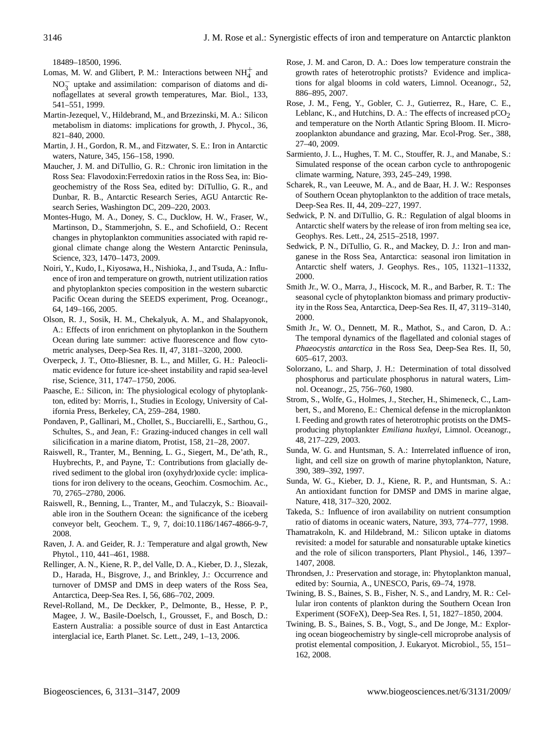18489–18500, 1996.

- Lomas, M. W. and Glibert, P. M.: Interactions between  $NH_4^+$  and NO $_3^-$  uptake and assimilation: comparison of diatoms and dinoflagellates at several growth temperatures, Mar. Biol., 133, 541–551, 1999.
- Martin-Jezequel, V., Hildebrand, M., and Brzezinski, M. A.: Silicon metabolism in diatoms: implications for growth, J. Phycol., 36, 821–840, 2000.
- Martin, J. H., Gordon, R. M., and Fitzwater, S. E.: Iron in Antarctic waters, Nature, 345, 156–158, 1990.
- Maucher, J. M. and DiTullio, G. R.: Chronic iron limitation in the Ross Sea: Flavodoxin:Ferredoxin ratios in the Ross Sea, in: Biogeochemistry of the Ross Sea, edited by: DiTullio, G. R., and Dunbar, R. B., Antarctic Research Series, AGU Antarctic Research Series, Washington DC, 209–220, 2003.
- Montes-Hugo, M. A., Doney, S. C., Ducklow, H. W., Fraser, W., Martinson, D., Stammerjohn, S. E., and Schofiield, O.: Recent changes in phytoplankton communities associated with rapid regional climate change along the Western Antarctic Peninsula, Science, 323, 1470–1473, 2009.
- Noiri, Y., Kudo, I., Kiyosawa, H., Nishioka, J., and Tsuda, A.: Influence of iron and temperature on growth, nutrient utilization ratios and phytoplankton species composition in the western subarctic Pacific Ocean during the SEEDS experiment, Prog. Oceanogr., 64, 149–166, 2005.
- Olson, R. J., Sosik, H. M., Chekalyuk, A. M., and Shalapyonok, A.: Effects of iron enrichment on phytoplankon in the Southern Ocean during late summer: active fluorescence and flow cytometric analyses, Deep-Sea Res. II, 47, 3181–3200, 2000.
- Overpeck, J. T., Otto-Bliesner, B. L., and Miller, G. H.: Paleoclimatic evidence for future ice-sheet instability and rapid sea-level rise, Science, 311, 1747–1750, 2006.
- Paasche, E.: Silicon, in: The physiological ecology of phytoplankton, edited by: Morris, I., Studies in Ecology, University of California Press, Berkeley, CA, 259–284, 1980.
- Pondaven, P., Gallinari, M., Chollet, S., Bucciarelli, E., Sarthou, G., Schultes, S., and Jean, F.: Grazing-induced changes in cell wall silicification in a marine diatom, Protist, 158, 21–28, 2007.
- Raiswell, R., Tranter, M., Benning, L. G., Siegert, M., De'ath, R., Huybrechts, P., and Payne, T.: Contributions from glacially derived sediment to the global iron (oxyhydr)oxide cycle: implications for iron delivery to the oceans, Geochim. Cosmochim. Ac., 70, 2765–2780, 2006.
- Raiswell, R., Benning, L., Tranter, M., and Tulaczyk, S.: Bioavailable iron in the Southern Ocean: the significance of the iceberg conveyor belt, Geochem. T., 9, 7, doi:10.1186/1467-4866-9-7, 2008.
- Raven, J. A. and Geider, R. J.: Temperature and algal growth, New Phytol., 110, 441–461, 1988.
- Rellinger, A. N., Kiene, R. P., del Valle, D. A., Kieber, D. J., Slezak, D., Harada, H., Bisgrove, J., and Brinkley, J.: Occurrence and turnover of DMSP and DMS in deep waters of the Ross Sea, Antarctica, Deep-Sea Res. I, 56, 686–702, 2009.
- Revel-Rolland, M., De Deckker, P., Delmonte, B., Hesse, P. P., Magee, J. W., Basile-Doelsch, I., Grousset, F., and Bosch, D.: Eastern Australia: a possible source of dust in East Antarctica interglacial ice, Earth Planet. Sc. Lett., 249, 1–13, 2006.
- Rose, J. M. and Caron, D. A.: Does low temperature constrain the growth rates of heterotrophic protists? Evidence and implications for algal blooms in cold waters, Limnol. Oceanogr., 52, 886–895, 2007.
- Rose, J. M., Feng, Y., Gobler, C. J., Gutierrez, R., Hare, C. E., Leblanc, K., and Hutchins, D. A.: The effects of increased  $pCO<sub>2</sub>$ and temperature on the North Atlantic Spring Bloom. II. Microzooplankton abundance and grazing, Mar. Ecol-Prog. Ser., 388, 27–40, 2009.
- Sarmiento, J. L., Hughes, T. M. C., Stouffer, R. J., and Manabe, S.: Simulated response of the ocean carbon cycle to anthropogenic climate warming, Nature, 393, 245–249, 1998.
- Scharek, R., van Leeuwe, M. A., and de Baar, H. J. W.: Responses of Southern Ocean phytoplankton to the addition of trace metals, Deep-Sea Res. II, 44, 209–227, 1997.
- Sedwick, P. N. and DiTullio, G. R.: Regulation of algal blooms in Antarctic shelf waters by the release of iron from melting sea ice, Geophys. Res. Lett., 24, 2515–2518, 1997.
- Sedwick, P. N., DiTullio, G. R., and Mackey, D. J.: Iron and manganese in the Ross Sea, Antarctica: seasonal iron limitation in Antarctic shelf waters, J. Geophys. Res., 105, 11321–11332, 2000.
- Smith Jr., W. O., Marra, J., Hiscock, M. R., and Barber, R. T.: The seasonal cycle of phytoplankton biomass and primary productivity in the Ross Sea, Antarctica, Deep-Sea Res. II, 47, 3119–3140, 2000.
- Smith Jr., W. O., Dennett, M. R., Mathot, S., and Caron, D. A.: The temporal dynamics of the flagellated and colonial stages of *Phaeocystis antarctica* in the Ross Sea, Deep-Sea Res. II, 50, 605–617, 2003.
- Solorzano, L. and Sharp, J. H.: Determination of total dissolved phosphorus and particulate phosphorus in natural waters, Limnol. Oceanogr., 25, 756–760, 1980.
- Strom, S., Wolfe, G., Holmes, J., Stecher, H., Shimeneck, C., Lambert, S., and Moreno, E.: Chemical defense in the microplankton I. Feeding and growth rates of heterotrophic protists on the DMSproducing phytoplankter *Emiliana huxleyi*, Limnol. Oceanogr., 48, 217–229, 2003.
- Sunda, W. G. and Huntsman, S. A.: Interrelated influence of iron, light, and cell size on growth of marine phytoplankton, Nature, 390, 389–392, 1997.
- Sunda, W. G., Kieber, D. J., Kiene, R. P., and Huntsman, S. A.: An antioxidant function for DMSP and DMS in marine algae, Nature, 418, 317–320, 2002.
- Takeda, S.: Influence of iron availability on nutrient consumption ratio of diatoms in oceanic waters, Nature, 393, 774–777, 1998.
- Thamatrakoln, K. and Hildebrand, M.: Silicon uptake in diatoms revisited: a model for saturable and nonsaturable uptake kinetics and the role of silicon transporters, Plant Physiol., 146, 1397– 1407, 2008.
- Throndsen, J.: Preservation and storage, in: Phytoplankton manual, edited by: Sournia, A., UNESCO, Paris, 69–74, 1978.
- Twining, B. S., Baines, S. B., Fisher, N. S., and Landry, M. R.: Cellular iron contents of plankton during the Southern Ocean Iron Experiment (SOFeX), Deep-Sea Res. I, 51, 1827–1850, 2004.
- Twining, B. S., Baines, S. B., Vogt, S., and De Jonge, M.: Exploring ocean biogeochemistry by single-cell microprobe analysis of protist elemental composition, J. Eukaryot. Microbiol., 55, 151– 162, 2008.